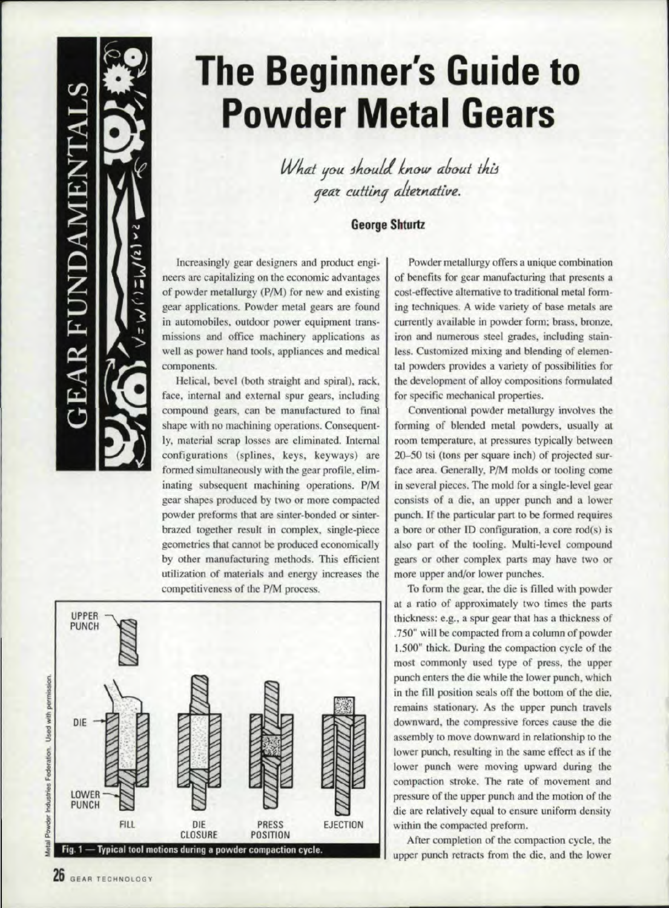

# **The Beginner's Guide to Powder Metal Gears**

What you should know about this gear cutting alternative.

## **George Shturtz**

Increasingly gear designers and product engineers are capitalizing on the economic advantages of powder metallurgy (P/M) for new and existing gear applications. Powder metal gears are found in automobiles, outdoor power equipment transmissions and office machinery applications as well as power hand tools, appliances and medical components.

Helical, bevel (both straight and spiral), rack, face, internal and external spur gears, including compound gears, can be manufactured to final shape with no machining operations. Consequently, material scrap losses are eliminated. Internal configurations (splines, keys, keyways) are formed simultaneously with the gear profile, eliminating subsequent machining operations. P/M gear shapes produced by two or more compacted powder preforms that are sinter-bonded or sinterbrazed together result in complex, single-piece geometries that cannot be produced economically by other manufacturing methods. This efficient utilization of materials and energy increases the competitiveness of the P/M process.



Powder metallurgy offers a unique combination of benefits for gear manufacturing that presents a cost-effective alternative to traditional metal forming techniques. A wide variety of base metals are currently available in powder form; brass, bronze, iron and numerous steel grades, including stainless. Customized mixing and blending of elemental powders provides a variety of possibilities for the development of alloy compositions formulated for specific mechanical properties.

Conventional powder metallurgy involves the forming of blended metal powders, usually at room temperature, at pressures typically between 20–50 tsi (tons per square inch) of projected surface area. Generally, P/M molds or tooling come in several pieces. The mold for a single-level gear consists of a die, an upper punch and a lower punch. If the particular part to be formed requires a bore or other ID configuration, a core rod(s) is also part of the tooling. Multi-level compound gears or other complex parts may have two or more upper and/or lower punches.

To form the gear, the die is filled with powder at a ratio of approximately two times the parts thickness: e.g., a spur gear that has a thickness of .750" will be compacted from a column of powder 1.500" thick. During the compaction cycle of the most commonly used type of press, the upper punch enters the die while the lower punch, which in the fill position seals off the bottom of the die, remains stationary. As the upper punch travels downward, the compressive forces cause the die assembly to move downward in relationship to the lower punch, resulting in the same effect as if the lower punch were moving upward during the compaction stroke. The rate of movement and pressure of the upper punch and the motion of the die are relatively equal to ensure uniform density within the compacted preform.

After completion of the compaction cycle, the upper punch retracts from the die, and the lower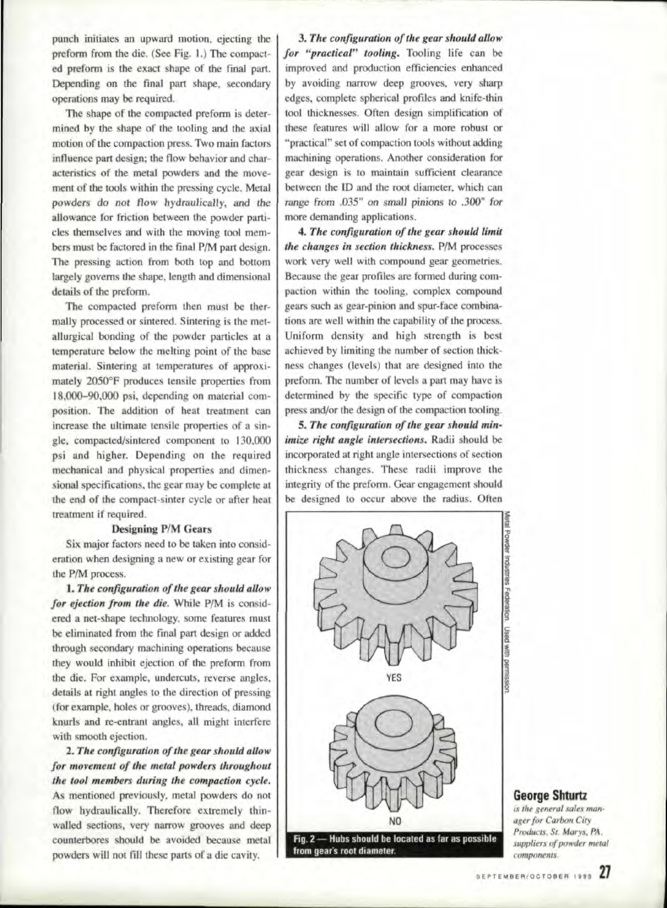punch initiates an upward motion, ejecting the preform from the die. (See Fig. 1.) The compacted preform is the exact shape of the final part. Depending on the final part shape, secondary operations may be required.

The shape of the compacted preform is determined by the shape of the tooling and the axial motion of the compaction press. Two main factors influence part design: the flow behavior and characteristics of the metal powders and the movement of the tools within the pressing cycle. Metal powders do not flow hydraulically, and the allowance for friction between the powder particles themselves and with the moving tool members must be factored in the final P/M part design. The pressing action from both top and bottom largely governs the shape, length and dimensional details of the preform.

The compacted preform then must be thermally processed or sintered, Sintering is the metallurgical bonding of the powder particles at a temperature 'below the melting poim of the base material. Sintering at temperatures of approximately 2050°F produces tensile properties from 18,000-90.000 psi, depending om material composition. The addition of heat treatment can increase the ultimate tensile properties of a single, compacted/sintered component to 130,000 psi. and higher. Depending on the required mechanical and physical properties and dimensional specifications, the gear may be complete at the end of the compact-sinter cycle or after heat treatment if required.

#### Designing P/M Gears

Six major factors need to be taken into consideration when designing a new or existing gear for the P/M process.

1. The configuration of the gear should allow for ejection from the die. While P/M is considered a net-shape technology, some features must be eliminated from the final part design or added through secondary machining operations because they would inhibit. ejection of the preform from the die. For example. undercuts, reverse angles, details at right angles to the direction of pressing (for example, holes or grooves), threads. diamond knurls and re-entrant angles, all might interfere with smooth ejection.

**2. The configuration of the gear should allow** for movement of the metal powders throughout *the tool members during the compaction cycle.* As mentioned previously, metal powders do not flow hydraulically. Therefore extremely thinwalled sections, very narrow grooves and deep counrerbores should be avoided because metal powders will not fill these parts of a die cavity.

*3. The configuration of the gear.should allow* for "practical" tooling. Tooling life can be improved and production efficiencies enhanced by avoiding narrow deep grooves, very sharp edges, complete spherical profiles and knife-thin tool thicknesses. Often design simplification of these features will allow for a more robust or "practical" set of compaction tools without adding machining operations. Another consideration for gear desjgn is to maintain sufficient clearance between the ID and the root diameter, which can range from .035" on small pinions to .300" for more demanding applications.

4. The configuration of the gear should limit the changes in section thickness. P/M processes work very well with compound gear geometries, Because the gear profiles are formed during compaction within the tooling, complex compound gears such as gear-pinion and spur-face combinations are well within the capability of the process. Uniform density and high strength is best. achieved by limiting the number of section thickness changes (levels) that are designed into the preform. The number of levels a part may have is determined by the specific type of compaction press and/or the design of the compaction tooling.

5. The configuration of the gear should min*imize right angle intersections.* Radii should be incorporated at right angle intersections of section thickness changes. These radii improve the integrity of the preform. Gear engagement should be designed to occur above the radius. Often



## George Shturtz

*IS the general sales man· agel' for Carbon, City Products.* Sr. *Marys. PA. suppliers of powder metal components.*